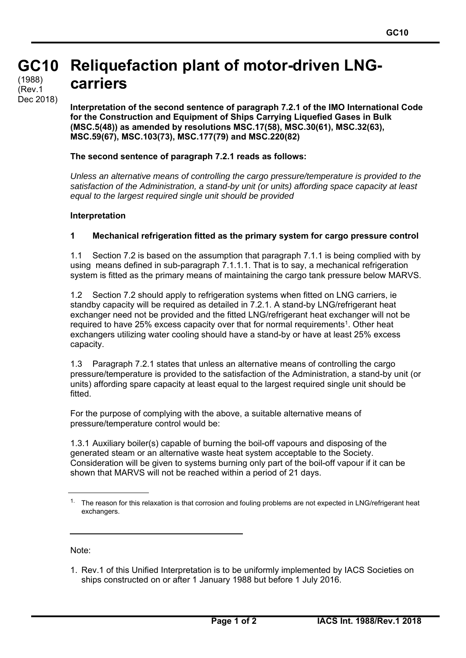#### **GC10 GC10**  (1988) **Reliquefaction plant of motor-driven LNGcarriers**  (Rev.1

**Interpretation of the second sentence of paragraph 7.2.1 of the IMO International Code for the Construction and Equipment of Ships Carrying Liquefied Gases in Bulk (MSC.5(48)) as amended by resolutions MSC.17(58), MSC.30(61), MSC.32(63), MSC.59(67), MSC.103(73), MSC.177(79) and MSC.220(82)** 

### **The second sentence of paragraph 7.2.1 reads as follows:**

*Unless an alternative means of controlling the cargo pressure/temperature is provided to the satisfaction of the Administration, a stand-by unit (or units) affording space capacity at least equal to the largest required single unit should be provided* 

#### **Interpretation**

Dec 2018)

## **1 Mechanical refrigeration fitted as the primary system for cargo pressure control**

1.1 Section 7.2 is based on the assumption that paragraph 7.1.1 is being complied with by using means defined in sub-paragraph 7.1.1.1. That is to say, a mechanical refrigeration system is fitted as the primary means of maintaining the cargo tank pressure below MARVS.

1.2 Section 7.2 should apply to refrigeration systems when fitted on LNG carriers, ie standby capacity will be required as detailed in 7.2.1. A stand-by LNG/refrigerant heat exchanger need not be provided and the fitted LNG/refrigerant heat exchanger will not be required to have 25% excess capacity over that for normal requirements<sup>1</sup>. Other heat exchangers utilizing water cooling should have a stand-by or have at least 25% excess capacity.

1.3 Paragraph 7.2.1 states that unless an alternative means of controlling the cargo pressure/temperature is provided to the satisfaction of the Administration, a stand-by unit (or units) affording spare capacity at least equal to the largest required single unit should be fitted.

For the purpose of complying with the above, a suitable alternative means of pressure/temperature control would be:

1.3.1 Auxiliary boiler(s) capable of burning the boil-off vapours and disposing of the generated steam or an alternative waste heat system acceptable to the Society. Consideration will be given to systems burning only part of the boil-off vapour if it can be shown that MARVS will not be reached within a period of 21 days.

Note:

 $\overline{a}$ 

 $1.$  The reason for this relaxation is that corrosion and fouling problems are not expected in LNG/refrigerant heat exchangers.

<sup>1.</sup> Rev.1 of this Unified Interpretation is to be uniformly implemented by IACS Societies on ships constructed on or after 1 January 1988 but before 1 July 2016.